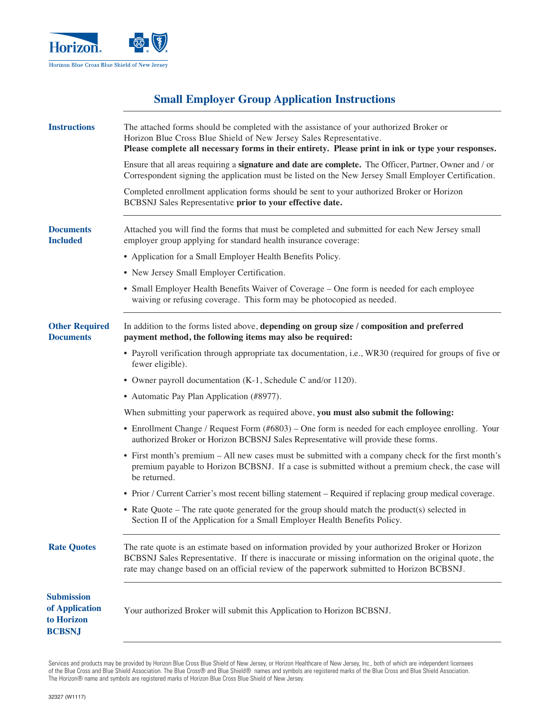

# **Small Employer Group Application Instructions**

| <b>Instructions</b>                                                | The attached forms should be completed with the assistance of your authorized Broker or<br>Horizon Blue Cross Blue Shield of New Jersey Sales Representative.<br>Please complete all necessary forms in their entirety. Please print in ink or type your responses.                                    |  |  |  |  |  |  |  |
|--------------------------------------------------------------------|--------------------------------------------------------------------------------------------------------------------------------------------------------------------------------------------------------------------------------------------------------------------------------------------------------|--|--|--|--|--|--|--|
|                                                                    | Ensure that all areas requiring a signature and date are complete. The Officer, Partner, Owner and / or<br>Correspondent signing the application must be listed on the New Jersey Small Employer Certification.                                                                                        |  |  |  |  |  |  |  |
|                                                                    | Completed enrollment application forms should be sent to your authorized Broker or Horizon<br>BCBSNJ Sales Representative prior to your effective date.                                                                                                                                                |  |  |  |  |  |  |  |
| <b>Documents</b><br><b>Included</b>                                | Attached you will find the forms that must be completed and submitted for each New Jersey small<br>employer group applying for standard health insurance coverage:                                                                                                                                     |  |  |  |  |  |  |  |
|                                                                    | • Application for a Small Employer Health Benefits Policy.                                                                                                                                                                                                                                             |  |  |  |  |  |  |  |
|                                                                    | • New Jersey Small Employer Certification.                                                                                                                                                                                                                                                             |  |  |  |  |  |  |  |
|                                                                    | • Small Employer Health Benefits Waiver of Coverage – One form is needed for each employee<br>waiving or refusing coverage. This form may be photocopied as needed.                                                                                                                                    |  |  |  |  |  |  |  |
| <b>Other Required</b><br><b>Documents</b>                          | In addition to the forms listed above, depending on group size / composition and preferred<br>payment method, the following items may also be required:                                                                                                                                                |  |  |  |  |  |  |  |
|                                                                    | • Payroll verification through appropriate tax documentation, i.e., WR30 (required for groups of five or<br>fewer eligible).                                                                                                                                                                           |  |  |  |  |  |  |  |
|                                                                    | • Owner payroll documentation (K-1, Schedule C and/or 1120).                                                                                                                                                                                                                                           |  |  |  |  |  |  |  |
|                                                                    | • Automatic Pay Plan Application (#8977).                                                                                                                                                                                                                                                              |  |  |  |  |  |  |  |
|                                                                    | When submitting your paperwork as required above, you must also submit the following:                                                                                                                                                                                                                  |  |  |  |  |  |  |  |
|                                                                    | • Enrollment Change / Request Form (#6803) – One form is needed for each employee enrolling. Your<br>authorized Broker or Horizon BCBSNJ Sales Representative will provide these forms.                                                                                                                |  |  |  |  |  |  |  |
|                                                                    | • First month's premium – All new cases must be submitted with a company check for the first month's<br>premium payable to Horizon BCBSNJ. If a case is submitted without a premium check, the case will<br>be returned.                                                                               |  |  |  |  |  |  |  |
|                                                                    | • Prior / Current Carrier's most recent billing statement – Required if replacing group medical coverage.                                                                                                                                                                                              |  |  |  |  |  |  |  |
|                                                                    | • Rate Quote – The rate quote generated for the group should match the product(s) selected in<br>Section II of the Application for a Small Employer Health Benefits Policy.                                                                                                                            |  |  |  |  |  |  |  |
| <b>Rate Quotes</b>                                                 | The rate quote is an estimate based on information provided by your authorized Broker or Horizon<br>BCBSNJ Sales Representative. If there is inaccurate or missing information on the original quote, the<br>rate may change based on an official review of the paperwork submitted to Horizon BCBSNJ. |  |  |  |  |  |  |  |
| <b>Submission</b><br>of Application<br>to Horizon<br><b>BCBSNJ</b> | Your authorized Broker will submit this Application to Horizon BCBSNJ.                                                                                                                                                                                                                                 |  |  |  |  |  |  |  |

Services and products may be provided by Horizon Blue Cross Blue Shield of New Jersey, or Horizon Healthcare of New Jersey, Inc., both of which are independent licensees of the Blue Cross and Blue Shield Association. The Blue Cross® and Blue Shield® names and symbols are registered marks of the Blue Cross and Blue Shield Association. The Horizon® name and symbols are registered marks of Horizon Blue Cross Blue Shield of New Jersey.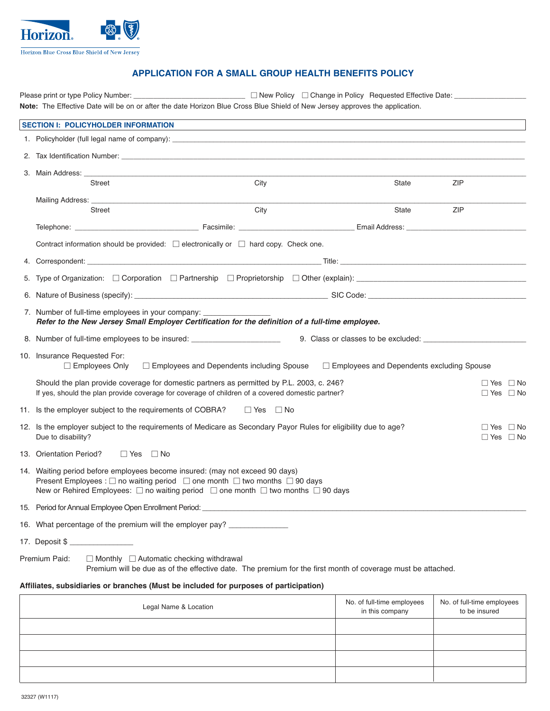

# **APPLICATION FOR A SMALL GROUP HEALTH BENEFITS POLICY**

Please print or type Policy Number: \_\_\_\_\_\_\_\_\_\_\_\_\_\_\_\_\_\_\_\_\_\_\_\_\_\_\_\_\_\_\_\_ New Policy  $\Box$  Change in Policy Requested Effective Date: \_ **Note:** The Effective Date will be on or after the date Horizon Blue Cross Blue Shield of New Jersey approves the application.

| <b>SECTION I: POLICYHOLDER INFORMATION</b>                                                                                                                                                                                                                                                                     |                                                                                                             |       |            |                                              |
|----------------------------------------------------------------------------------------------------------------------------------------------------------------------------------------------------------------------------------------------------------------------------------------------------------------|-------------------------------------------------------------------------------------------------------------|-------|------------|----------------------------------------------|
| 1. Policyholder (full legal name of company): example and a series of contract the series of contract of the series of contract of contract of contract of the series of contract of the series of contract of the series of c                                                                                 |                                                                                                             |       |            |                                              |
|                                                                                                                                                                                                                                                                                                                |                                                                                                             |       |            |                                              |
| <b>Street</b>                                                                                                                                                                                                                                                                                                  | City                                                                                                        | State | ZIP        |                                              |
|                                                                                                                                                                                                                                                                                                                |                                                                                                             |       |            |                                              |
| Street                                                                                                                                                                                                                                                                                                         | City                                                                                                        | State | <b>ZIP</b> |                                              |
|                                                                                                                                                                                                                                                                                                                |                                                                                                             |       |            |                                              |
| Contract information should be provided: $\square$ electronically or $\square$ hard copy. Check one.                                                                                                                                                                                                           |                                                                                                             |       |            |                                              |
|                                                                                                                                                                                                                                                                                                                |                                                                                                             |       |            |                                              |
|                                                                                                                                                                                                                                                                                                                |                                                                                                             |       |            |                                              |
| 6. Nature of Business (specify): entertainment and the SIC Code: SIC Code: SIC Code:                                                                                                                                                                                                                           |                                                                                                             |       |            |                                              |
| 7. Number of full-time employees in your company: _______________<br>Refer to the New Jersey Small Employer Certification for the definition of a full-time employee.                                                                                                                                          |                                                                                                             |       |            |                                              |
| 8. Number of full-time employees to be insured: __________________________                                                                                                                                                                                                                                     |                                                                                                             |       |            |                                              |
| 10. Insurance Requested For:<br>$\Box$ Employees Only $\Box$ Employees and Dependents including Spouse $\Box$ Employees and Dependents excluding Spouse                                                                                                                                                        |                                                                                                             |       |            |                                              |
| Should the plan provide coverage for domestic partners as permitted by P.L. 2003, c. 246?<br>If yes, should the plan provide coverage for coverage of children of a covered domestic partner?                                                                                                                  |                                                                                                             |       |            | $\Box$ Yes $\Box$ No<br>$\Box$ Yes $\Box$ No |
| 11. Is the employer subject to the requirements of COBRA?                                                                                                                                                                                                                                                      | $\Box$ Yes $\Box$ No                                                                                        |       |            |                                              |
| 12. Is the employer subject to the requirements of Medicare as Secondary Payor Rules for eligibility due to age?<br>Due to disability?                                                                                                                                                                         |                                                                                                             |       |            | $\Box$ Yes $\Box$ No<br>$\Box$ Yes $\Box$ No |
| 13. Orientation Period?<br>□ Yes □ No                                                                                                                                                                                                                                                                          |                                                                                                             |       |            |                                              |
| 14. Waiting period before employees become insured: (may not exceed 90 days)<br>Present Employees : $\square$ no waiting period $\square$ one month $\square$ two months $\square$ 90 days<br>New or Rehired Employees: $\square$ no waiting period $\square$ one month $\square$ two months $\square$ 90 days |                                                                                                             |       |            |                                              |
|                                                                                                                                                                                                                                                                                                                |                                                                                                             |       |            |                                              |
| 16. What percentage of the premium will the employer pay? _____________                                                                                                                                                                                                                                        |                                                                                                             |       |            |                                              |
| 17. Deposit \$                                                                                                                                                                                                                                                                                                 |                                                                                                             |       |            |                                              |
| Premium Paid:<br>$\Box$ Monthly $\Box$ Automatic checking withdrawal                                                                                                                                                                                                                                           | Premium will be due as of the effective date. The premium for the first month of coverage must be attached. |       |            |                                              |
| Affiliates, subsidiaries or branches (Must be included for purposes of participation)                                                                                                                                                                                                                          |                                                                                                             |       |            |                                              |

| Legal Name & Location | No. of full-time employees<br>in this company | No. of full-time employees<br>to be insured |
|-----------------------|-----------------------------------------------|---------------------------------------------|
|                       |                                               |                                             |
|                       |                                               |                                             |
|                       |                                               |                                             |
|                       |                                               |                                             |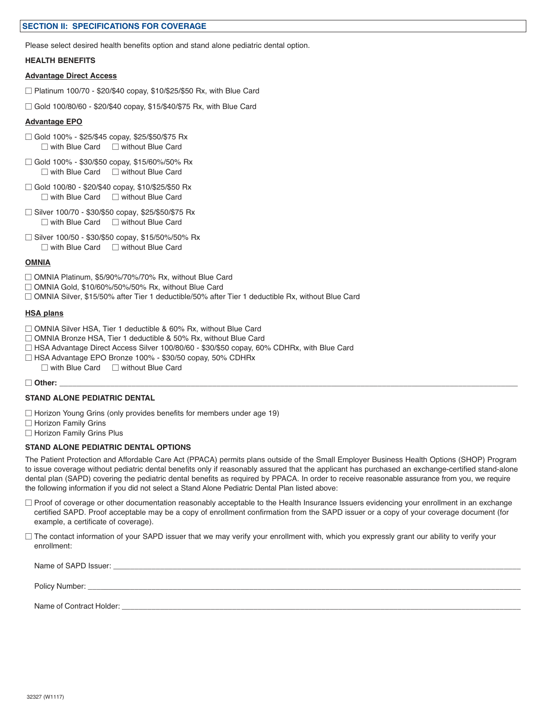#### **SECTION II: SPECIFICATIONS FOR COVERAGE**

Please select desired health benefits option and stand alone pediatric dental option.

#### **HEALTH BENEFITS**

#### **Advantage Direct Access**

- $\Box$  Platinum 100/70 \$20/\$40 copay, \$10/\$25/\$50 Rx, with Blue Card
- $\Box$  Gold 100/80/60 \$20/\$40 copay, \$15/\$40/\$75 Rx, with Blue Card

#### **Advantage EPO**

- □ Gold 100% \$25/\$45 copay, \$25/\$50/\$75 Rx  $\Box$  with Blue Card  $\Box$  without Blue Card
- □ Gold 100% \$30/\$50 copay, \$15/60%/50% Rx  $\Box$  with Blue Card  $\Box$  without Blue Card
- Gold 100/80 \$20/\$40 copay, \$10/\$25/\$50 Rx  $\Box$  with Blue Card  $\Box$  without Blue Card
- $\Box$  Silver 100/70 \$30/\$50 copay, \$25/\$50/\$75 Rx  $\Box$  with Blue Card  $\Box$  without Blue Card
- □ Silver 100/50 \$30/\$50 copay, \$15/50%/50% Rx  $\Box$  with Blue Card  $\Box$  without Blue Card

#### **OMNIA**

- □ OMNIA Platinum, \$5/90%/70%/70% Rx, without Blue Card
- □ OMNIA Gold, \$10/60%/50%/50% Rx, without Blue Card
- $\Box$  OMNIA Silver, \$15/50% after Tier 1 deductible/50% after Tier 1 deductible Rx, without Blue Card

#### **HSA plans**

- □ OMNIA Silver HSA, Tier 1 deductible & 60% Rx, without Blue Card
- $\Box$  OMNIA Bronze HSA, Tier 1 deductible & 50% Rx, without Blue Card
- $\Box$  HSA Advantage Direct Access Silver 100/80/60 \$30/\$50 copay, 60% CDHRx, with Blue Card
- □ HSA Advantage EPO Bronze 100% \$30/50 copay, 50% CDHRx
	- $\Box$  with Blue Card  $\Box$  without Blue Card

#### **Other:** \_\_\_\_\_\_\_\_\_\_\_\_\_\_\_\_\_\_\_\_\_\_\_\_\_\_\_\_\_\_\_\_\_\_\_\_\_\_\_\_\_\_\_\_\_\_\_\_\_\_\_\_\_\_\_\_\_\_\_\_\_\_\_\_\_\_\_\_\_\_\_\_\_\_\_\_\_\_\_\_\_\_\_\_\_\_\_\_\_\_\_\_\_\_\_\_\_\_\_\_\_\_\_\_\_\_\_\_

#### **STAND ALONE PEDIATRIC DENTAL**

- $\Box$  Horizon Young Grins (only provides benefits for members under age 19)
- □ Horizon Family Grins
- $\Box$  Horizon Family Grins Plus

#### **STAND ALONE PEDIATRIC DENTAL OPTIONS**

The Patient Protection and Affordable Care Act (PPACA) permits plans outside of the Small Employer Business Health Options (SHOP) Program to issue coverage without pediatric dental benefits only if reasonably assured that the applicant has purchased an exchange-certified stand-alone dental plan (SAPD) covering the pediatric dental benefits as required by PPACA. In order to receive reasonable assurance from you, we require the following information if you did not select a Stand Alone Pediatric Dental Plan listed above:

- □ Proof of coverage or other documentation reasonably acceptable to the Health Insurance Issuers evidencing your enrollment in an exchange certified SAPD. Proof acceptable may be a copy of enrollment confirmation from the SAPD issuer or a copy of your coverage document (for example, a certificate of coverage).
- □ The contact information of your SAPD issuer that we may verify your enrollment with, which you expressly grant our ability to verify your enrollment:

| Name of SAPD Issuer:     |
|--------------------------|
|                          |
| Policy Number:           |
|                          |
| Name of Contract Holder: |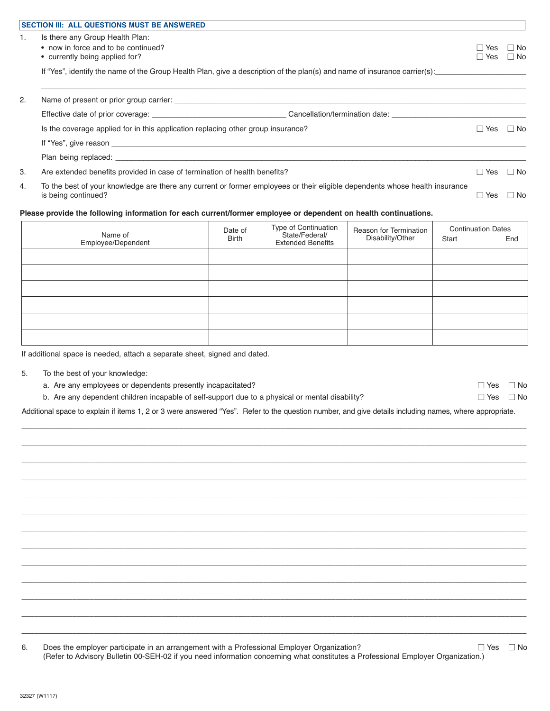|    | <b>SECTION III: ALL QUESTIONS MUST BE ANSWERED</b>                                                                                                 |                     |              |
|----|----------------------------------------------------------------------------------------------------------------------------------------------------|---------------------|--------------|
| 1. | Is there any Group Health Plan:<br>• now in force and to be continued?<br>• currently being applied for?                                           | Yes<br>Yes          | ∏ No<br>⊟ No |
|    | If "Yes", identify the name of the Group Health Plan, give a description of the plan(s) and name of insurance carrier(s):                          |                     |              |
| 2. |                                                                                                                                                    |                     |              |
|    |                                                                                                                                                    |                     |              |
|    | Is the coverage applied for in this application replacing other group insurance?                                                                   | Yes<br>$\mathbf{L}$ | $\Box$ No    |
|    |                                                                                                                                                    |                     |              |
|    |                                                                                                                                                    |                     |              |
| 3. | Are extended benefits provided in case of termination of health benefits?                                                                          | Yes                 | $\Box$ No    |
| 4. | To the best of your knowledge are there any current or former employees or their eligible dependents whose health insurance<br>is being continued? | Yes                 | $\Box$ No    |

## **Please provide the following information for each current/former employee or dependent on health continuations.**

| Name of<br>Employee/Dependent | Date of<br>Birth | Type of Continuation<br>State/Federal/<br><b>Extended Benefits</b> | Reason for Termination<br>Disability/Other | <b>Continuation Dates</b><br>Start | End |
|-------------------------------|------------------|--------------------------------------------------------------------|--------------------------------------------|------------------------------------|-----|
|                               |                  |                                                                    |                                            |                                    |     |
|                               |                  |                                                                    |                                            |                                    |     |
|                               |                  |                                                                    |                                            |                                    |     |
|                               |                  |                                                                    |                                            |                                    |     |
|                               |                  |                                                                    |                                            |                                    |     |
|                               |                  |                                                                    |                                            |                                    |     |

If additional space is needed, attach a separate sheet, signed and dated.

- 5. To the best of your knowledge:
	- a. Are any employees or dependents presently incapacitated?  $\square$  Yes  $\square$  Yes  $\square$  No

| b. Are any dependent children incapable of self-support due to a physical or mental disability? | $\Box$ Yes $\Box$ No |
|-------------------------------------------------------------------------------------------------|----------------------|
|-------------------------------------------------------------------------------------------------|----------------------|

Additional space to explain if items 1, 2 or 3 were answered "Yes". Refer to the question number, and give details including names, where appropriate. \_\_\_\_\_\_\_\_\_\_\_\_\_\_\_\_\_\_\_\_\_\_\_\_\_\_\_\_\_\_\_\_\_\_\_\_\_\_\_\_\_\_\_\_\_\_\_\_\_\_\_\_\_\_\_\_\_\_\_\_\_\_\_\_\_\_\_\_\_\_\_\_\_\_\_\_\_\_\_\_\_\_\_\_\_\_\_\_\_\_\_\_\_\_\_\_\_\_\_\_\_\_\_\_\_\_\_\_\_\_\_\_\_\_\_\_\_\_\_

\_\_\_\_\_\_\_\_\_\_\_\_\_\_\_\_\_\_\_\_\_\_\_\_\_\_\_\_\_\_\_\_\_\_\_\_\_\_\_\_\_\_\_\_\_\_\_\_\_\_\_\_\_\_\_\_\_\_\_\_\_\_\_\_\_\_\_\_\_\_\_\_\_\_\_\_\_\_\_\_\_\_\_\_\_\_\_\_\_\_\_\_\_\_\_\_\_\_\_\_\_\_\_\_\_\_\_\_\_\_\_\_\_\_\_\_\_\_\_ \_\_\_\_\_\_\_\_\_\_\_\_\_\_\_\_\_\_\_\_\_\_\_\_\_\_\_\_\_\_\_\_\_\_\_\_\_\_\_\_\_\_\_\_\_\_\_\_\_\_\_\_\_\_\_\_\_\_\_\_\_\_\_\_\_\_\_\_\_\_\_\_\_\_\_\_\_\_\_\_\_\_\_\_\_\_\_\_\_\_\_\_\_\_\_\_\_\_\_\_\_\_\_\_\_\_\_\_\_\_\_\_\_\_\_\_\_\_\_ \_\_\_\_\_\_\_\_\_\_\_\_\_\_\_\_\_\_\_\_\_\_\_\_\_\_\_\_\_\_\_\_\_\_\_\_\_\_\_\_\_\_\_\_\_\_\_\_\_\_\_\_\_\_\_\_\_\_\_\_\_\_\_\_\_\_\_\_\_\_\_\_\_\_\_\_\_\_\_\_\_\_\_\_\_\_\_\_\_\_\_\_\_\_\_\_\_\_\_\_\_\_\_\_\_\_\_\_\_\_\_\_\_\_\_\_\_\_\_ \_\_\_\_\_\_\_\_\_\_\_\_\_\_\_\_\_\_\_\_\_\_\_\_\_\_\_\_\_\_\_\_\_\_\_\_\_\_\_\_\_\_\_\_\_\_\_\_\_\_\_\_\_\_\_\_\_\_\_\_\_\_\_\_\_\_\_\_\_\_\_\_\_\_\_\_\_\_\_\_\_\_\_\_\_\_\_\_\_\_\_\_\_\_\_\_\_\_\_\_\_\_\_\_\_\_\_\_\_\_\_\_\_\_\_\_\_\_\_ \_\_\_\_\_\_\_\_\_\_\_\_\_\_\_\_\_\_\_\_\_\_\_\_\_\_\_\_\_\_\_\_\_\_\_\_\_\_\_\_\_\_\_\_\_\_\_\_\_\_\_\_\_\_\_\_\_\_\_\_\_\_\_\_\_\_\_\_\_\_\_\_\_\_\_\_\_\_\_\_\_\_\_\_\_\_\_\_\_\_\_\_\_\_\_\_\_\_\_\_\_\_\_\_\_\_\_\_\_\_\_\_\_\_\_\_\_\_\_ \_\_\_\_\_\_\_\_\_\_\_\_\_\_\_\_\_\_\_\_\_\_\_\_\_\_\_\_\_\_\_\_\_\_\_\_\_\_\_\_\_\_\_\_\_\_\_\_\_\_\_\_\_\_\_\_\_\_\_\_\_\_\_\_\_\_\_\_\_\_\_\_\_\_\_\_\_\_\_\_\_\_\_\_\_\_\_\_\_\_\_\_\_\_\_\_\_\_\_\_\_\_\_\_\_\_\_\_\_\_\_\_\_\_\_\_\_\_\_ \_\_\_\_\_\_\_\_\_\_\_\_\_\_\_\_\_\_\_\_\_\_\_\_\_\_\_\_\_\_\_\_\_\_\_\_\_\_\_\_\_\_\_\_\_\_\_\_\_\_\_\_\_\_\_\_\_\_\_\_\_\_\_\_\_\_\_\_\_\_\_\_\_\_\_\_\_\_\_\_\_\_\_\_\_\_\_\_\_\_\_\_\_\_\_\_\_\_\_\_\_\_\_\_\_\_\_\_\_\_\_\_\_\_\_\_\_\_\_ \_\_\_\_\_\_\_\_\_\_\_\_\_\_\_\_\_\_\_\_\_\_\_\_\_\_\_\_\_\_\_\_\_\_\_\_\_\_\_\_\_\_\_\_\_\_\_\_\_\_\_\_\_\_\_\_\_\_\_\_\_\_\_\_\_\_\_\_\_\_\_\_\_\_\_\_\_\_\_\_\_\_\_\_\_\_\_\_\_\_\_\_\_\_\_\_\_\_\_\_\_\_\_\_\_\_\_\_\_\_\_\_\_\_\_\_\_\_\_ \_\_\_\_\_\_\_\_\_\_\_\_\_\_\_\_\_\_\_\_\_\_\_\_\_\_\_\_\_\_\_\_\_\_\_\_\_\_\_\_\_\_\_\_\_\_\_\_\_\_\_\_\_\_\_\_\_\_\_\_\_\_\_\_\_\_\_\_\_\_\_\_\_\_\_\_\_\_\_\_\_\_\_\_\_\_\_\_\_\_\_\_\_\_\_\_\_\_\_\_\_\_\_\_\_\_\_\_\_\_\_\_\_\_\_\_\_\_\_ \_\_\_\_\_\_\_\_\_\_\_\_\_\_\_\_\_\_\_\_\_\_\_\_\_\_\_\_\_\_\_\_\_\_\_\_\_\_\_\_\_\_\_\_\_\_\_\_\_\_\_\_\_\_\_\_\_\_\_\_\_\_\_\_\_\_\_\_\_\_\_\_\_\_\_\_\_\_\_\_\_\_\_\_\_\_\_\_\_\_\_\_\_\_\_\_\_\_\_\_\_\_\_\_\_\_\_\_\_\_\_\_\_\_\_\_\_\_\_ \_\_\_\_\_\_\_\_\_\_\_\_\_\_\_\_\_\_\_\_\_\_\_\_\_\_\_\_\_\_\_\_\_\_\_\_\_\_\_\_\_\_\_\_\_\_\_\_\_\_\_\_\_\_\_\_\_\_\_\_\_\_\_\_\_\_\_\_\_\_\_\_\_\_\_\_\_\_\_\_\_\_\_\_\_\_\_\_\_\_\_\_\_\_\_\_\_\_\_\_\_\_\_\_\_\_\_\_\_\_\_\_\_\_\_\_\_\_\_ \_\_\_\_\_\_\_\_\_\_\_\_\_\_\_\_\_\_\_\_\_\_\_\_\_\_\_\_\_\_\_\_\_\_\_\_\_\_\_\_\_\_\_\_\_\_\_\_\_\_\_\_\_\_\_\_\_\_\_\_\_\_\_\_\_\_\_\_\_\_\_\_\_\_\_\_\_\_\_\_\_\_\_\_\_\_\_\_\_\_\_\_\_\_\_\_\_\_\_\_\_\_\_\_\_\_\_\_\_\_\_\_\_\_\_\_\_\_\_

6. Does the employer participate in an arrangement with a Professional Employer Organization?  $\square$  Yes  $\square$  No (Refer to Advisory Bulletin 00-SEH-02 if you need information concerning what constitutes a Professional Employer Organization.)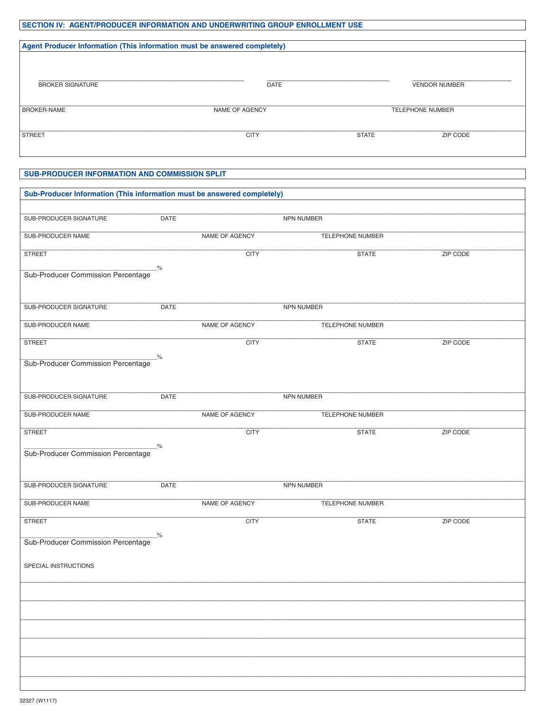# SECTION IV: AGENT/PRODUCER INFORMATION AND UNDERWRITING GROUP ENROLLMENT USE

| Agent Producer Information (This information must be answered completely) |                |                         |                      |  |  |
|---------------------------------------------------------------------------|----------------|-------------------------|----------------------|--|--|
| <b>BROKER SIGNATURE</b>                                                   | <b>DATE</b>    |                         | <b>VENDOR NUMBER</b> |  |  |
| <b>BROKER-NAME</b>                                                        | NAME OF AGENCY | <b>TELEPHONE NUMBER</b> |                      |  |  |
| <b>STREET</b>                                                             | <b>CITY</b>    | <b>STATE</b>            | ZIP CODE             |  |  |

### SUB-PRODUCER INFORMATION AND COMMISSION SPLIT

| Sub-Producer Information (This information must be answered completely) |               |                |                         |                 |  |  |  |  |
|-------------------------------------------------------------------------|---------------|----------------|-------------------------|-----------------|--|--|--|--|
| SUB-PRODUCER SIGNATURE                                                  | DATE          |                | NPN NUMBER              |                 |  |  |  |  |
|                                                                         |               |                |                         |                 |  |  |  |  |
| SUB-PRODUCER NAME                                                       |               | NAME OF AGENCY | TELEPHONE NUMBER        |                 |  |  |  |  |
| <b>STREET</b>                                                           |               | <b>CITY</b>    | <b>STATE</b>            | <b>ZIP CODE</b> |  |  |  |  |
| Sub-Producer Commission Percentage                                      | $\frac{9}{6}$ |                |                         |                 |  |  |  |  |
|                                                                         |               |                |                         |                 |  |  |  |  |
|                                                                         |               |                |                         |                 |  |  |  |  |
| SUB-PRODUCER SIGNATURE                                                  | DATE          |                | NPN NUMBER              |                 |  |  |  |  |
| SUB-PRODUCER NAME                                                       |               | NAME OF AGENCY | TELEPHONE NUMBER        |                 |  |  |  |  |
| <b>STREET</b>                                                           |               | <b>CITY</b>    | <b>STATE</b>            | ZIP CODE        |  |  |  |  |
| Sub-Producer Commission Percentage                                      | $\frac{9}{6}$ |                |                         |                 |  |  |  |  |
|                                                                         |               |                |                         |                 |  |  |  |  |
|                                                                         |               |                |                         |                 |  |  |  |  |
| SUB-PRODUCER SIGNATURE                                                  | DATE          |                | NPN NUMBER              |                 |  |  |  |  |
| SUB-PRODUCER NAME                                                       |               | NAME OF AGENCY | <b>TELEPHONE NUMBER</b> |                 |  |  |  |  |
| <b>STREET</b>                                                           |               | <b>CITY</b>    | <b>STATE</b>            | ZIP CODE        |  |  |  |  |
| Sub-Producer Commission Percentage                                      | _%_           |                |                         |                 |  |  |  |  |
|                                                                         |               |                |                         |                 |  |  |  |  |
|                                                                         |               |                |                         |                 |  |  |  |  |
| SUB-PRODUCER SIGNATURE                                                  | <b>DATE</b>   |                | NPN NUMBER              |                 |  |  |  |  |
| SUB-PRODUCER NAME                                                       |               | NAME OF AGENCY | TELEPHONE NUMBER        |                 |  |  |  |  |
| <b>STREET</b>                                                           |               | <b>CITY</b>    | <b>STATE</b>            | ZIP CODE        |  |  |  |  |
| Sub-Producer Commission Percentage <sup>%</sup>                         |               |                |                         |                 |  |  |  |  |
|                                                                         |               |                |                         |                 |  |  |  |  |
| SPECIAL INSTRUCTIONS                                                    |               |                |                         |                 |  |  |  |  |
|                                                                         |               |                |                         |                 |  |  |  |  |
|                                                                         |               |                |                         |                 |  |  |  |  |
|                                                                         |               |                |                         |                 |  |  |  |  |
|                                                                         |               |                |                         |                 |  |  |  |  |
|                                                                         |               |                |                         |                 |  |  |  |  |
|                                                                         |               |                |                         |                 |  |  |  |  |
|                                                                         |               |                |                         |                 |  |  |  |  |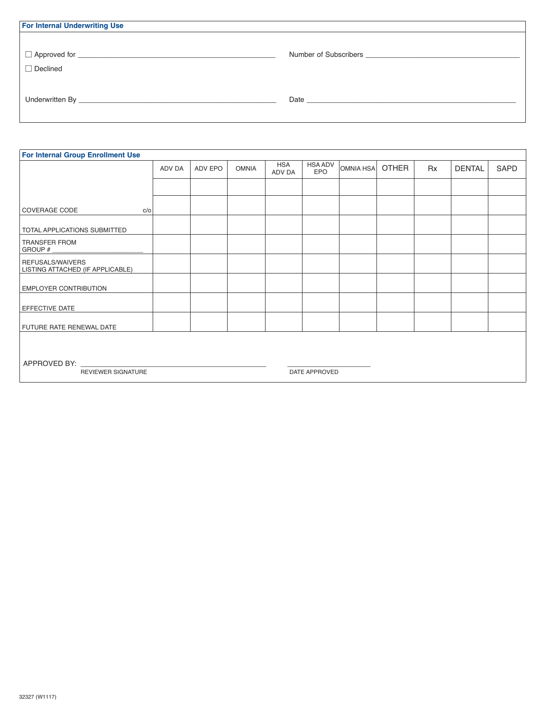| Number of Subscribers <b>Manual Accord Subscribers Manual Accord Subscribers</b>                                                                                                                                               |
|--------------------------------------------------------------------------------------------------------------------------------------------------------------------------------------------------------------------------------|
|                                                                                                                                                                                                                                |
|                                                                                                                                                                                                                                |
| Date and the state of the state of the state of the state of the state of the state of the state of the state of the state of the state of the state of the state of the state of the state of the state of the state of the s |
|                                                                                                                                                                                                                                |
|                                                                                                                                                                                                                                |

| <b>For Internal Group Enrollment Use</b>                   |        |         |              |                      |                       |           |              |           |               |      |
|------------------------------------------------------------|--------|---------|--------------|----------------------|-----------------------|-----------|--------------|-----------|---------------|------|
|                                                            | ADV DA | ADV EPO | <b>OMNIA</b> | <b>HSA</b><br>ADV DA | <b>HSA ADV</b><br>EPO | OMNIA HSA | <b>OTHER</b> | <b>Rx</b> | <b>DENTAL</b> | SAPD |
|                                                            |        |         |              |                      |                       |           |              |           |               |      |
| <b>COVERAGE CODE</b><br>c/o                                |        |         |              |                      |                       |           |              |           |               |      |
| TOTAL APPLICATIONS SUBMITTED                               |        |         |              |                      |                       |           |              |           |               |      |
| TRANSFER FROM<br>GROUP #                                   |        |         |              |                      |                       |           |              |           |               |      |
| REFUSALS/WAIVERS<br>LISTING ATTACHED (IF APPLICABLE)       |        |         |              |                      |                       |           |              |           |               |      |
| <b>EMPLOYER CONTRIBUTION</b>                               |        |         |              |                      |                       |           |              |           |               |      |
| EFFECTIVE DATE                                             |        |         |              |                      |                       |           |              |           |               |      |
| FUTURE RATE RENEWAL DATE                                   |        |         |              |                      |                       |           |              |           |               |      |
|                                                            |        |         |              |                      |                       |           |              |           |               |      |
| APPROVED BY:<br><b>REVIEWER SIGNATURE</b><br>DATE APPROVED |        |         |              |                      |                       |           |              |           |               |      |
|                                                            |        |         |              |                      |                       |           |              |           |               |      |